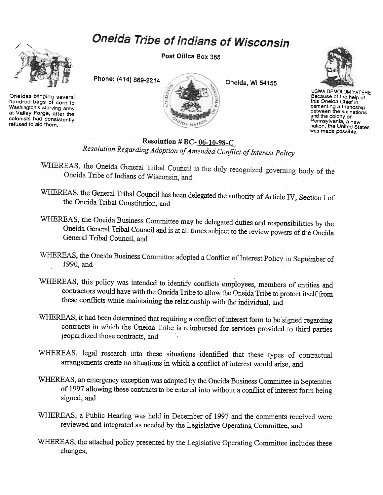## Oneida Tribe of Indians of Wisconsin



Oneidas bringing several hundred bags of corn to Washington's starving army at Valley Forge. after the colonists had consistently refused to aid them.

Post Office Box 365





UGWA DEMOLUM YATEHE Because of the help of this Oneida Chief in cementing a friendship<br>between the six nation and the colony of Pennsylvania. a new nation. the United States was made possible.

## Resolution # BC- $06-10-98-C$

Resolution Regarding Adoption of Amended Conflict of Interest Policy

- WHEREAS, the Oneida General Tribal Council is the duly recognized governing body of the<br>Oneida Tribe of Indians of Wissonic Multiple Oneida Tribe of Indians of Wisconsin, and
- WHEREAS, the General Tribal Council has been delegated the authority of Article IV, Section I of the Oneida Tribal Constitution, and
- WHEREAS, the Oneida Business Committee may be delegated duties and responsibilities by the Oneida General Tribal Council and is at all times subject to the review powers of the Oneida General Tribal Council, and
- WHEREAS, the Oneida Business Committee adopted a Conflict of Interest Policy in September of 1990, and
- WHEREAS, this policy was intended to identify conflicts employees, members of entities and contractors would have with the Oneida Tribe to allow the Oneida Tribe to protect itself from these coriflicts while maintaining the relationship with the individual, and
- WHEREAS, it had been determined that requiring a conflict of interest form to be signed regarding contracts in which the Oneida Tribe is reimbursed for services provided to third parties jeopardized those contracts, and
- WHEREAS, legal research into these situations identified that these types of contractual arrangements create no situations in which a conflict of interest would arise, and
- WHEREAS, an emergency exception was adopted by the Oneida Business Committee in September of 1997 allowing these contracts to be entered into without a conflict of interest form being signed, and
- WHEREAS, a Public Hearing was held in December of 1997 and the comments received were reviewed and integrated as needed by the Legislative Operating Committee, and
- WHEREAS, the attached policy presented by the Legislative Operating Committee includes these changes,